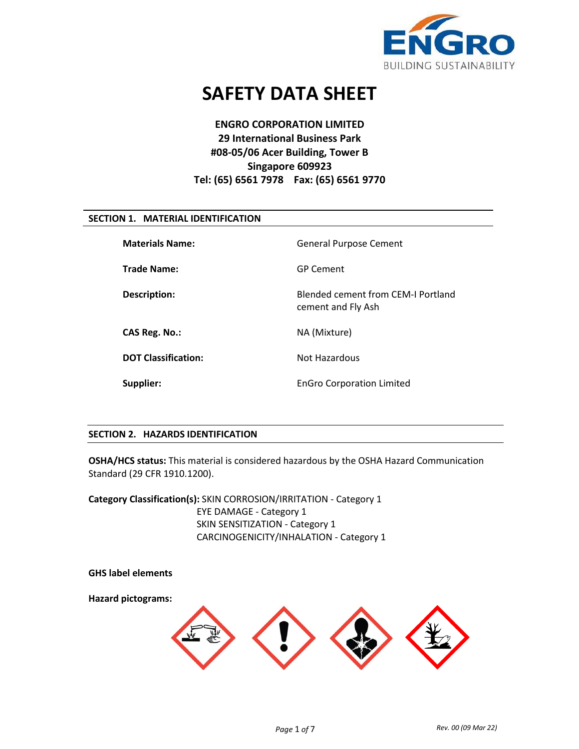

# **SAFETY DATA SHEET**

## **ENGRO CORPORATION LIMITED 29 International Business Park #08-05/06 Acer Building, Tower B Singapore 609923 Tel: (65) 6561 7978 Fax: (65) 6561 9770**

#### **SECTION 1. MATERIAL IDENTIFICATION**

| <b>Materials Name:</b>     | <b>General Purpose Cement</b>                            |
|----------------------------|----------------------------------------------------------|
| <b>Trade Name:</b>         | <b>GP Cement</b>                                         |
| Description:               | Blended cement from CEM-I Portland<br>cement and Fly Ash |
| CAS Reg. No.:              | NA (Mixture)                                             |
| <b>DOT Classification:</b> | Not Hazardous                                            |
| Supplier:                  | <b>EnGro Corporation Limited</b>                         |

#### **SECTION 2. HAZARDS IDENTIFICATION**

**OSHA/HCS status:** This material is considered hazardous by the OSHA Hazard Communication Standard (29 CFR 1910.1200).

**Category Classification(s):** SKIN CORROSION/IRRITATION - Category 1 EYE DAMAGE - Category 1 SKIN SENSITIZATION - Category 1 CARCINOGENICITY/INHALATION - Category 1

**GHS label elements**

**Hazard pictograms:** 

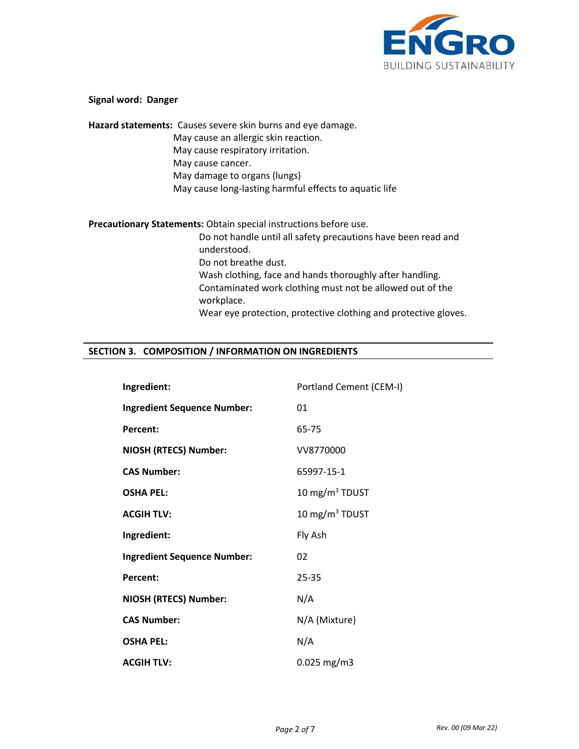

#### **Signal word: Danger**

| Hazard statements: Causes severe skin burns and eye damage.              |
|--------------------------------------------------------------------------|
| May cause an allergic skin reaction.                                     |
| May cause respiratory irritation.                                        |
| May cause cancer.                                                        |
| May damage to organs (lungs)                                             |
| May cause long-lasting harmful effects to aquatic life                   |
| <b>Precautionary Statements: Obtain special instructions before use.</b> |
| Do not handle until all safety precautions have been read and            |
| understood.                                                              |
| Do not breathe dust.                                                     |
| Wash clothing, face and hands thoroughly after handling.                 |
| Contaminated work clothing must not be allowed out of the                |

workplace.

Wear eye protection, protective clothing and protective gloves.

### **SECTION 3. COMPOSITION / INFORMATION ON INGREDIENTS**

| Ingredient:                        | Portland Cement (CEM-I) |
|------------------------------------|-------------------------|
| <b>Ingredient Sequence Number:</b> | 01                      |
| Percent:                           | 65-75                   |
| NIOSH (RTECS) Number:              | VV8770000               |
| <b>CAS Number:</b>                 | 65997-15-1              |
| OSHA PEL:                          | 10 mg/m $3$ TDUST       |
| <b>ACGIH TLV:</b>                  | 10 mg/m $3$ TDUST       |
| Ingredient:                        | Fly Ash                 |
| <b>Ingredient Sequence Number:</b> | 02                      |
| Percent:                           | 25-35                   |
| NIOSH (RTECS) Number:              | N/A                     |
| <b>CAS Number:</b>                 | N/A (Mixture)           |
| <b>OSHA PEL:</b>                   | N/A                     |
| <b>ACGIH TLV:</b>                  | $0.025$ mg/m3           |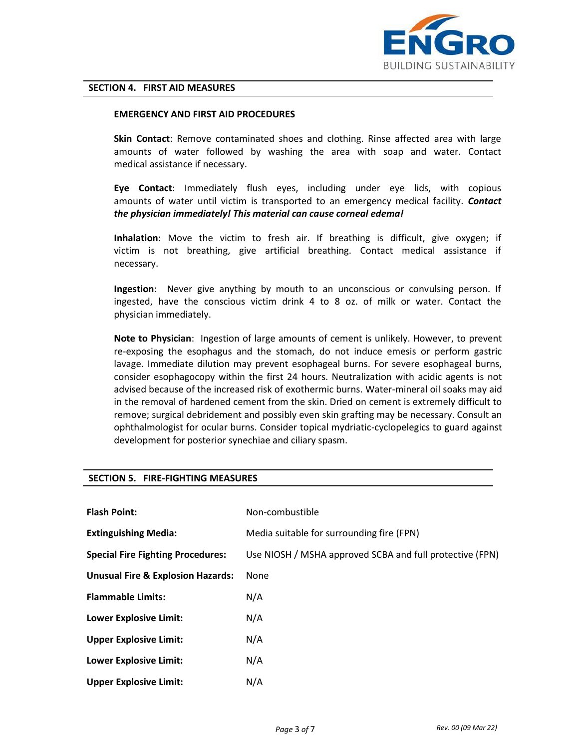

#### **SECTION 4. FIRST AID MEASURES**

#### **EMERGENCY AND FIRST AID PROCEDURES**

**Skin Contact**: Remove contaminated shoes and clothing. Rinse affected area with large amounts of water followed by washing the area with soap and water. Contact medical assistance if necessary.

**Eye Contact**: Immediately flush eyes, including under eye lids, with copious amounts of water until victim is transported to an emergency medical facility. *Contact the physician immediately! This material can cause corneal edema!*

**Inhalation**: Move the victim to fresh air. If breathing is difficult, give oxygen; if victim is not breathing, give artificial breathing. Contact medical assistance if necessary.

**Ingestion**:Never give anything by mouth to an unconscious or convulsing person. If ingested, have the conscious victim drink 4 to 8 oz. of milk or water. Contact the physician immediately.

**Note to Physician**:Ingestion of large amounts of cement is unlikely. However, to prevent re-exposing the esophagus and the stomach, do not induce emesis or perform gastric lavage. Immediate dilution may prevent esophageal burns. For severe esophageal burns, consider esophagocopy within the first 24 hours. Neutralization with acidic agents is not advised because of the increased risk of exothermic burns. Water-mineral oil soaks may aid in the removal of hardened cement from the skin. Dried on cement is extremely difficult to remove; surgical debridement and possibly even skin grafting may be necessary. Consult an ophthalmologist for ocular burns. Consider topical mydriatic-cyclopelegics to guard against development for posterior synechiae and ciliary spasm.

| 9221198 9. TINE TISHTING MEASONES            |                                                          |  |
|----------------------------------------------|----------------------------------------------------------|--|
|                                              |                                                          |  |
| <b>Flash Point:</b>                          | Non-combustible                                          |  |
| <b>Extinguishing Media:</b>                  | Media suitable for surrounding fire (FPN)                |  |
| <b>Special Fire Fighting Procedures:</b>     | Use NIOSH / MSHA approved SCBA and full protective (FPN) |  |
| <b>Unusual Fire &amp; Explosion Hazards:</b> | None                                                     |  |
| <b>Flammable Limits:</b>                     | N/A                                                      |  |
| <b>Lower Explosive Limit:</b>                | N/A                                                      |  |
| <b>Upper Explosive Limit:</b>                | N/A                                                      |  |
| <b>Lower Explosive Limit:</b>                | N/A                                                      |  |
| <b>Upper Explosive Limit:</b>                | N/A                                                      |  |

#### **SECTION 5. FIRE-FIGHTING MEASURES**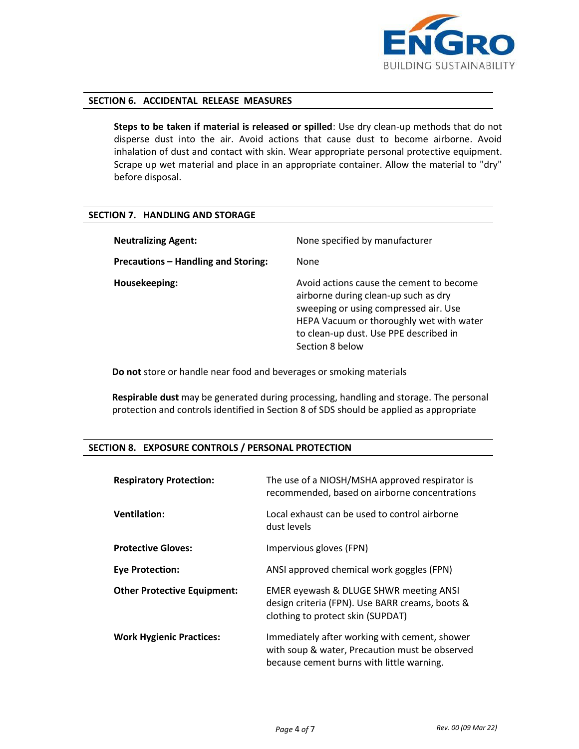

#### **SECTION 6. ACCIDENTAL RELEASE MEASURES**

**Steps to be taken if material is released or spilled**: Use dry clean-up methods that do not disperse dust into the air. Avoid actions that cause dust to become airborne. Avoid inhalation of dust and contact with skin. Wear appropriate personal protective equipment. Scrape up wet material and place in an appropriate container. Allow the material to "dry" before disposal.

#### **SECTION 7. HANDLING AND STORAGE**

| <b>Neutralizing Agent:</b>                 | None specified by manufacturer                                                                                                                                                                                                     |
|--------------------------------------------|------------------------------------------------------------------------------------------------------------------------------------------------------------------------------------------------------------------------------------|
| <b>Precautions - Handling and Storing:</b> | None                                                                                                                                                                                                                               |
| Housekeeping:                              | Avoid actions cause the cement to become<br>airborne during clean-up such as dry<br>sweeping or using compressed air. Use<br>HEPA Vacuum or thoroughly wet with water<br>to clean-up dust. Use PPE described in<br>Section 8 below |

 **Do not** store or handle near food and beverages or smoking materials

 **Respirable dust** may be generated during processing, handling and storage. The personal protection and controls identified in Section 8 of SDS should be applied as appropriate

#### **SECTION 8. EXPOSURE CONTROLS / PERSONAL PROTECTION**

| <b>Respiratory Protection:</b>     | The use of a NIOSH/MSHA approved respirator is<br>recommended, based on airborne concentrations                                              |
|------------------------------------|----------------------------------------------------------------------------------------------------------------------------------------------|
| <b>Ventilation:</b>                | Local exhaust can be used to control airborne<br>dust levels                                                                                 |
| <b>Protective Gloves:</b>          | Impervious gloves (FPN)                                                                                                                      |
| <b>Eye Protection:</b>             | ANSI approved chemical work goggles (FPN)                                                                                                    |
| <b>Other Protective Equipment:</b> | EMER eyewash & DLUGE SHWR meeting ANSI<br>design criteria (FPN). Use BARR creams, boots &<br>clothing to protect skin (SUPDAT)               |
| <b>Work Hygienic Practices:</b>    | Immediately after working with cement, shower<br>with soup & water, Precaution must be observed<br>because cement burns with little warning. |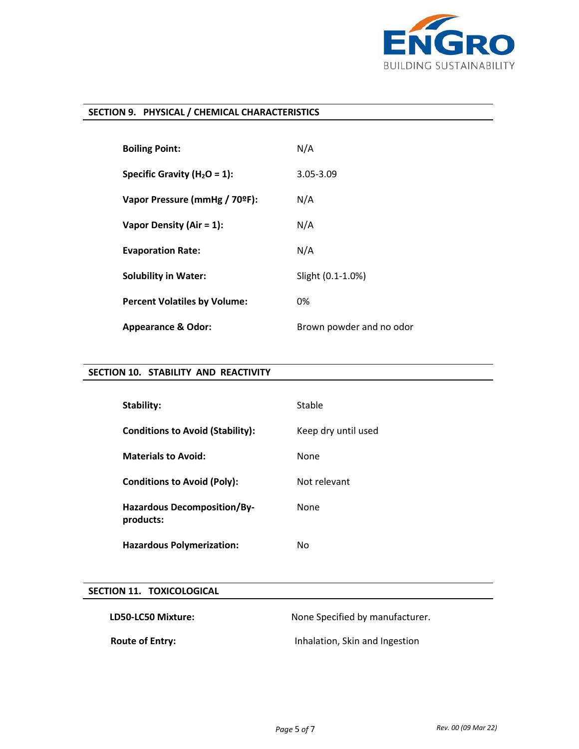

#### **SECTION 9. PHYSICAL / CHEMICAL CHARACTERISTICS**

| <b>Boiling Point:</b>               | N/A                      |
|-------------------------------------|--------------------------|
| Specific Gravity ( $H_2O = 1$ ):    | $3.05 - 3.09$            |
| Vapor Pressure (mmHg / 70ºF):       | N/A                      |
| Vapor Density (Air = $1$ ):         | N/A                      |
| <b>Evaporation Rate:</b>            | N/A                      |
| <b>Solubility in Water:</b>         | Slight (0.1-1.0%)        |
| <b>Percent Volatiles by Volume:</b> | 0%                       |
| <b>Appearance &amp; Odor:</b>       | Brown powder and no odor |

#### **SECTION 10. STABILITY AND REACTIVITY**

| Stability:                                      | Stable              |
|-------------------------------------------------|---------------------|
| <b>Conditions to Avoid (Stability):</b>         | Keep dry until used |
| <b>Materials to Avoid:</b>                      | None                |
| <b>Conditions to Avoid (Poly):</b>              | Not relevant        |
| <b>Hazardous Decomposition/By-</b><br>products: | None                |
| <b>Hazardous Polymerization:</b>                | No                  |

#### **SECTION 11. TOXICOLOGICAL**

LD50-LC50 Mixture: **None Specified by manufacturer**.

**Route of Entry:** Inhalation, Skin and Ingestion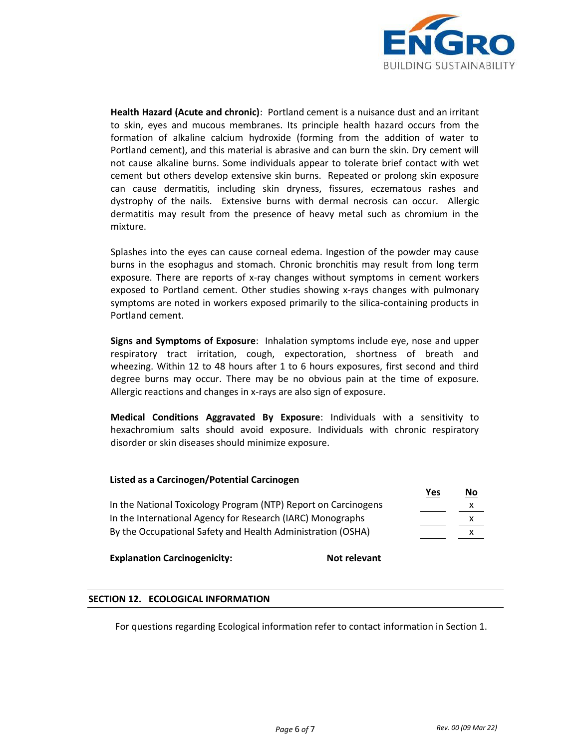

**Health Hazard (Acute and chronic)**:Portland cement is a nuisance dust and an irritant to skin, eyes and mucous membranes. Its principle health hazard occurs from the formation of alkaline calcium hydroxide (forming from the addition of water to Portland cement), and this material is abrasive and can burn the skin. Dry cement will not cause alkaline burns. Some individuals appear to tolerate brief contact with wet cement but others develop extensive skin burns. Repeated or prolong skin exposure can cause dermatitis, including skin dryness, fissures, eczematous rashes and dystrophy of the nails. Extensive burns with dermal necrosis can occur. Allergic dermatitis may result from the presence of heavy metal such as chromium in the mixture.

Splashes into the eyes can cause corneal edema. Ingestion of the powder may cause burns in the esophagus and stomach. Chronic bronchitis may result from long term exposure. There are reports of x-ray changes without symptoms in cement workers exposed to Portland cement. Other studies showing x-rays changes with pulmonary symptoms are noted in workers exposed primarily to the silica-containing products in Portland cement.

**Signs and Symptoms of Exposure**:Inhalation symptoms include eye, nose and upper respiratory tract irritation, cough, expectoration, shortness of breath and wheezing. Within 12 to 48 hours after 1 to 6 hours exposures, first second and third degree burns may occur. There may be no obvious pain at the time of exposure. Allergic reactions and changes in x-rays are also sign of exposure.

**Medical Conditions Aggravated By Exposure**: Individuals with a sensitivity to hexachromium salts should avoid exposure. Individuals with chronic respiratory disorder or skin diseases should minimize exposure.

#### **Listed as a Carcinogen/Potential Carcinogen**

|                                                                | <u>Yes</u> | <u>No</u> |
|----------------------------------------------------------------|------------|-----------|
| In the National Toxicology Program (NTP) Report on Carcinogens |            |           |
| In the International Agency for Research (IARC) Monographs     |            |           |
| By the Occupational Safety and Health Administration (OSHA)    |            | x         |

**Explanation Carcinogenicity:** Not relevant

#### **SECTION 12. ECOLOGICAL INFORMATION**

For questions regarding Ecological information refer to contact information in Section 1.